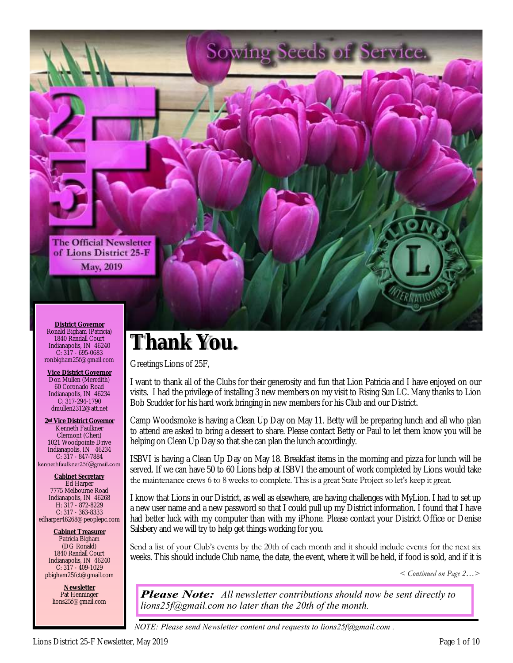

# **Thank You.**

Greetings Lions of 25F,

I want to thank all of the Clubs for their generosity and fun that Lion Patricia and I have enjoyed on our visits. I had the privilege of installing 3 new members on my visit to Rising Sun LC. Many thanks to Lion Bob Scudder for his hard work bringing in new members for his Club and our District.

Camp Woodsmoke is having a Clean Up Day on May 11. Betty will be preparing lunch and all who plan to attend are asked to bring a dessert to share. Please contact Betty or Paul to let them know you will be helping on Clean Up Day so that she can plan the lunch accordingly.

ISBVI is having a Clean Up Day on May 18. Breakfast items in the morning and pizza for lunch will be served. If we can have 50 to 60 Lions help at ISBVI the amount of work completed by Lions would take the maintenance crews 6 to 8 weeks to complete. This is a great State Project so let's keep it great.

I know that Lions in our District, as well as elsewhere, are having challenges with MyLion. I had to set up a new user name and a new password so that I could pull up my District information. I found that I have had better luck with my computer than with my iPhone. Please contact your District Office or Denise Salsbery and we will try to help get things working for you.

Send a list of your Club's events by the 20th of each month and it should include events for the next six weeks. This should include Club name, the date, the event, where it will be held, if food is sold, and if it is

*< Continued on Page 2…>* 

*All newsletter contributions should now be sent directly to lions25f@gmail.com no later than the 20th of the month.*

*NOTE: Please send Newsletter content and requests to lions25f@gmail.com .*

**District Governor** Ronald Bigham (Patricia) 1840 Randall Court Indianapolis, IN 46240 C: 317 - 695-0683 ronbigham25f@gmail.com

**Vice District Governor** Don Mullen (Meredith) 60 Coronado Road Indianapolis, IN 46234 C: 317-294-1790 dmullen2312@att.net

**2nd Vice District Governor** Kenneth Faulkner Clermont (Cheri) 1021 Woodpointe Drive Indianapolis, IN 46234 C: 317 - 847-7884<br>kennethfaulkner25f@gmail.com

**Cabinet Secretary** Ed Harper 7775 Melbourne Road Indianapolis, IN 46268 H: 317 - 872-8229 C: 317 - 363-8333 edharper46268@peoplepc.com

**Cabinet Treasurer** Patricia Bigham (DG Ronald) 1840 Randall Court Indianapolis, IN 46240 C: 317 - 409-1029 pbigham25fct@gmail.com

> **Newsletter** Pat Henninger lions25f@gmail.com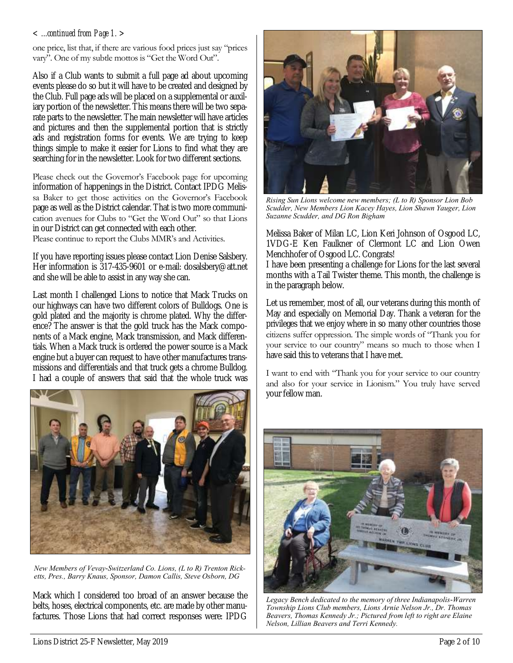#### *< ...continued from Page 1. >*

one price, list that, if there are various food prices just say "prices vary". One of my subtle mottos is "Get the Word Out".

Also if a Club wants to submit a full page ad about upcoming events please do so but it will have to be created and designed by the Club. Full page ads will be placed on a supplemental or auxiliary portion of the newsletter. This means there will be two separate parts to the newsletter. The main newsletter will have articles and pictures and then the supplemental portion that is strictly ads and registration forms for events. We are trying to keep things simple to make it easier for Lions to find what they are searching for in the newsletter. Look for two different sections.

Please check out the Governor's Facebook page for upcoming information of happenings in the District. Contact IPDG Melissa Baker to get those activities on the Governor's Facebook page as well as the District calendar. That is two more communication avenues for Clubs to "Get the Word Out" so that Lions in our District can get connected with each other.

Please continue to report the Clubs MMR's and Activities.

If you have reporting issues please contact Lion Denise Salsbery. Her information is 317-435-9601 or e-mail: dosalsbery@att.net and she will be able to assist in any way she can.

Last month I challenged Lions to notice that Mack Trucks on our highways can have two different colors of Bulldogs. One is gold plated and the majority is chrome plated. Why the difference? The answer is that the gold truck has the Mack components of a Mack engine, Mack transmission, and Mack differentials. When a Mack truck is ordered the power source is a Mack engine but a buyer can request to have other manufactures transmissions and differentials and that truck gets a chrome Bulldog. I had a couple of answers that said that the whole truck was



*New Members of Vevay-Switzerland Co. Lions, (L to R) Trenton Ricketts, Pres., Barry Knaus, Sponsor, Damon Callis, Steve Osborn, DG* 

Mack which I considered too broad of an answer because the belts, hoses, electrical components, etc. are made by other manufactures. Those Lions that had correct responses were: IPDG



*Rising Sun Lions welcome new members; (L to R) Sponsor Lion Bob Scudder, New Members Lion Kacey Hayes, Lion Shawn Yauger, Lion Suzanne Scudder, and DG Ron Bigham*

Melissa Baker of Milan LC, Lion Keri Johnson of Osgood LC, 1VDG-E Ken Faulkner of Clermont LC and Lion Owen Menchhofer of Osgood LC. Congrats!

I have been presenting a challenge for Lions for the last several months with a Tail Twister theme. This month, the challenge is in the paragraph below.

Let us remember, most of all, our veterans during this month of May and especially on Memorial Day. Thank a veteran for the privileges that we enjoy where in so many other countries those citizens suffer oppression. The simple words of "Thank you for your service to our country" means so much to those when I have said this to veterans that I have met.

I want to end with "Thank you for your service to our country and also for your service in Lionism." You truly have served your fellow man.



*Legacy Bench dedicated to the memory of three Indianapolis-Warren Township Lions Club members, Lions Arnie Nelson Jr., Dr. Thomas Beavers, Thomas Kennedy Jr.; Pictured from left to right are Elaine Nelson, Lillian Beavers and Terri Kennedy.*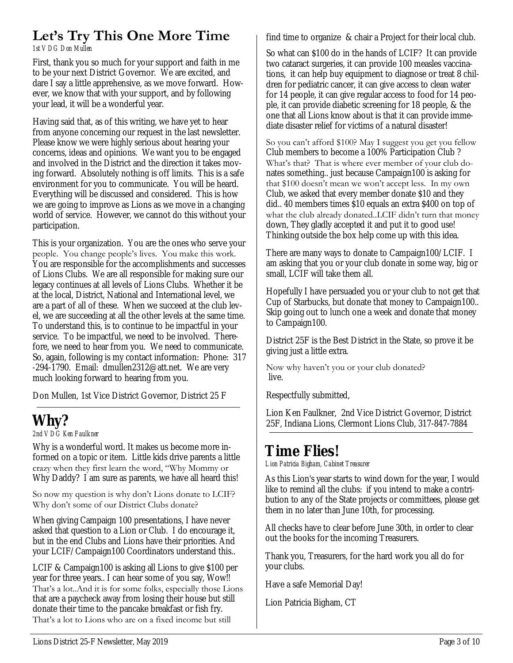### **Let's Try This One More Time**

*1st VDG Don Mullen*

First, thank you so much for your support and faith in me to be your next District Governor. We are excited, and dare I say a little apprehensive, as we move forward. However, we know that with your support, and by following your lead, it will be a wonderful year.

Having said that, as of this writing, we have yet to hear from anyone concerning our request in the last newsletter. Please know we were highly serious about hearing your concerns, ideas and opinions. We want you to be engaged and involved in the District and the direction it takes moving forward. Absolutely nothing is off limits. This is a safe environment for you to communicate. You will be heard. Everything will be discussed and considered. This is how we are going to improve as Lions as we move in a changing world of service. However, we cannot do this without your participation.

This is your organization. You are the ones who serve your people. You change people's lives. You make this work. You are responsible for the accomplishments and successes of Lions Clubs. We are all responsible for making sure our legacy continues at all levels of Lions Clubs. Whether it be at the local, District, National and International level, we are a part of all of these. When we succeed at the club level, we are succeeding at all the other levels at the same time. To understand this, is to continue to be impactful in your service. To be impactful, we need to be involved. Therefore, we need to hear from you. We need to communicate. So, again, following is my contact information: Phone: 317 -294-1790. Email: dmullen2312@att.net. We are very much looking forward to hearing from you.

Don Mullen, 1st Vice District Governor, District 25 F

## **Why?**

*2nd VDG Ken Faulkner*

Why is a wonderful word. It makes us become more informed on a topic or item. Little kids drive parents a little crazy when they first learn the word, "Why Mommy or Why Daddy? I am sure as parents, we have all heard this!

#### So now my question is why don't Lions donate to LCIF? Why don't some of our District Clubs donate?

When giving Campaign 100 presentations, I have never asked that question to a Lion or Club. I do encourage it, but in the end Clubs and Lions have their priorities. And your LCIF/Campaign100 Coordinators understand this..

LCIF & Campaign100 is asking all Lions to give \$100 per year for three years.. I can hear some of you say, Wow!! That's a lot..And it is for some folks, especially those Lions that are a paycheck away from losing their house but still donate their time to the pancake breakfast or fish fry. That's a lot to Lions who are on a fixed income but still

find time to organize & chair a Project for their local club.

So what can \$100 do in the hands of LCIF? It can provide two cataract surgeries, it can provide 100 measles vaccinations, it can help buy equipment to diagnose or treat 8 children for pediatric cancer, it can give access to clean water for 14 people, it can give regular access to food for 14 people, it can provide diabetic screening for 18 people, & the one that all Lions know about is that it can provide immediate disaster relief for victims of a natural disaster!

So you can't afford \$100? May I suggest you get you fellow Club members to become a 100% Participation Club ? What's that? That is where ever member of your club donates something.. just because Campaign100 is asking for that \$100 doesn't mean we won't accept less. In my own Club, we asked that every member donate \$10 and they did.. 40 members times \$10 equals an extra \$400 on top of what the club already donated..LCIF didn't turn that money down, They gladly accepted it and put it to good use! Thinking outside the box help come up with this idea.

There are many ways to donate to Campaign100/LCIF. I am asking that you or your club donate in some way, big or small, LCIF will take them all.

Hopefully I have persuaded you or your club to not get that Cup of Starbucks, but donate that money to Campaign100.. Skip going out to lunch one a week and donate that money to Campaign100.

District 25F is the Best District in the State, so prove it be giving just a little extra.

Now why haven't you or your club donated? live.

Respectfully submitted,

Lion Ken Faulkner, 2nd Vice District Governor, District 25F, Indiana Lions, Clermont Lions Club, 317-847-7884

### **Time Flies!**

*Lion Patricia Bigham, Cabinet Treasurer*

As this Lion's year starts to wind down for the year, I would like to remind all the clubs: if you intend to make a contribution to any of the State projects or committees, please get them in no later than June 10th, for processing.

All checks have to clear before June 30th, in order to clear out the books for the incoming Treasurers.

Thank you, Treasurers, for the hard work you all do for your clubs.

Have a safe Memorial Day!

Lion Patricia Bigham, CT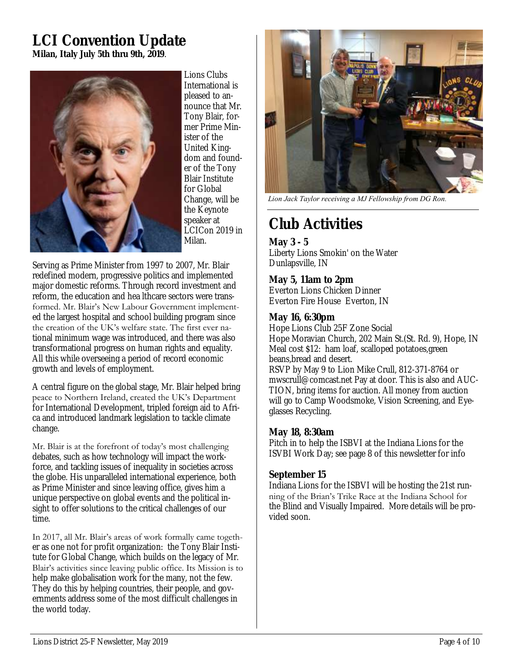### **LCI Convention Update Milan, Italy July 5th thru 9th, 2019**.



Lions Clubs International is pleased to announce that Mr. Tony Blair, former Prime Minister of the United Kingdom and founder of the Tony Blair Institute for Global Change, will be the Keynote speaker at LCICon 2019 in Milan.

Serving as Prime Minister from 1997 to 2007, Mr. Blair redefined modern, progressive politics and implemented major domestic reforms. Through record investment and reform, the education and hea lthcare sectors were transformed. Mr. Blair's New Labour Government implemented the largest hospital and school building program since the creation of the UK's welfare state. The first ever national minimum wage was introduced, and there was also transformational progress on human rights and equality. All this while overseeing a period of record economic growth and levels of employment.

A central figure on the global stage, Mr. Blair helped bring peace to Northern Ireland, created the UK's Department for International Development, tripled foreign aid to Africa and introduced landmark legislation to tackle climate change.

Mr. Blair is at the forefront of today's most challenging debates, such as how technology will impact the workforce, and tackling issues of inequality in societies across the globe. His unparalleled international experience, both as Prime Minister and since leaving office, gives him a unique perspective on global events and the political insight to offer solutions to the critical challenges of our time.

In 2017, all Mr. Blair's areas of work formally came together as one not for profit organization: the Tony Blair Institute for Global Change, which builds on the legacy of Mr. Blair's activities since leaving public office. Its Mission is to help make globalisation work for the many, not the few. They do this by helping countries, their people, and governments address some of the most difficult challenges in the world today.



*Lion Jack Taylor receiving a MJ Fellowship from DG Ron.* 

# **Club Activities**

**May 3 - 5** Liberty Lions Smokin' on the Water Dunlapsville, IN

**May 5, 11am to 2pm** Everton Lions Chicken Dinner Everton Fire House Everton, IN

#### **May 16, 6:30pm**

Hope Lions Club 25F Zone Social Hope Moravian Church, 202 Main St.(St. Rd. 9), Hope, IN Meal cost \$12: ham loaf, scalloped potatoes,green beans,bread and desert.

RSVP by May 9 to Lion Mike Crull, 812-371-8764 or mwscrull@comcast.net Pay at door. This is also and AUC-TION, bring items for auction. All money from auction will go to Camp Woodsmoke, Vision Screening, and Eyeglasses Recycling.

### **May 18, 8:30am**

Pitch in to help the ISBVI at the Indiana Lions for the ISVBI Work Day; see page 8 of this newsletter for info

### **September 15**

Indiana Lions for the ISBVI will be hosting the 21st running of the Brian's Trike Race at the Indiana School for the Blind and Visually Impaired. More details will be provided soon.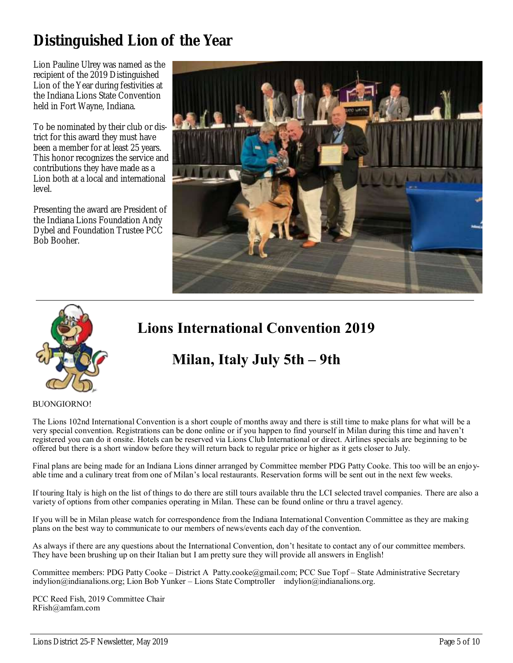### **Distinguished Lion of the Year**

Lion Pauline Ulrey was named as the recipient of the 2019 Distinguished Lion of the Year during festivities at the Indiana Lions State Convention held in Fort Wayne, Indiana.

To be nominated by their club or district for this award they must have been a member for at least 25 years. This honor recognizes the service and contributions they have made as a Lion both at a local and international level.

Presenting the award are President of the Indiana Lions Foundation Andy Dybel and Foundation Trustee PCC Bob Booher.





### **Lions International Convention 2019**

### **Milan, Italy July 5th – 9th**

#### BUONGIORNO!

The Lions 102nd International Convention is a short couple of months away and there is still time to make plans for what will be a very special convention. Registrations can be done online or if you happen to find yourself in Milan during this time and haven't registered you can do it onsite. Hotels can be reserved via Lions Club International or direct. Airlines specials are beginning to be offered but there is a short window before they will return back to regular price or higher as it gets closer to July.

Final plans are being made for an Indiana Lions dinner arranged by Committee member PDG Patty Cooke. This too will be an enjoyable time and a culinary treat from one of Milan's local restaurants. Reservation forms will be sent out in the next few weeks.

If touring Italy is high on the list of things to do there are still tours available thru the LCI selected travel companies. There are also a variety of options from other companies operating in Milan. These can be found online or thru a travel agency.

If you will be in Milan please watch for correspondence from the Indiana International Convention Committee as they are making plans on the best way to communicate to our members of news/events each day of the convention.

As always if there are any questions about the International Convention, don't hesitate to contact any of our committee members. They have been brushing up on their Italian but I am pretty sure they will provide all answers in English!

Committee members: PDG Patty Cooke – District A Patty.cooke@gmail.com; PCC Sue Topf – State Administrative Secretary indylion@indianalions.org; Lion Bob Yunker – Lions State Comptroller indylion@indianalions.org.

PCC Reed Fish, 2019 Committee Chair RFish@amfam.com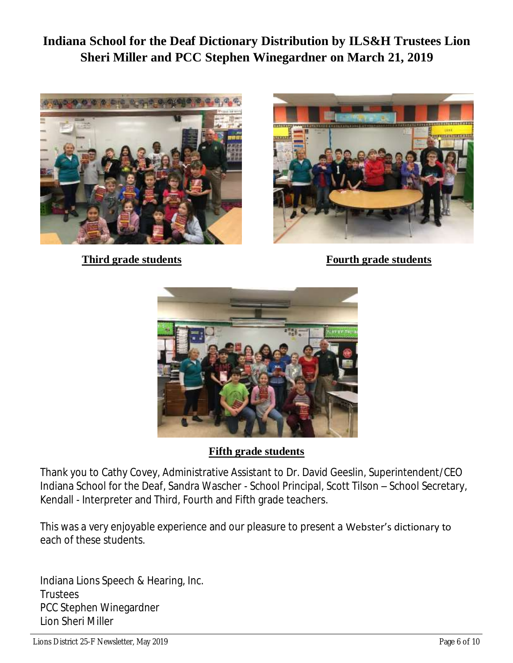**Indiana School for the Deaf Dictionary Distribution by ILS&H Trustees Lion Sheri Miller and PCC Stephen Winegardner on March 21, 2019**





**Third grade students** Fourth grade students



**Fifth grade students**

Thank you to Cathy Covey, Administrative Assistant to Dr. David Geeslin, Superintendent/CEO Indiana School for the Deaf, Sandra Wascher - School Principal, Scott Tilson – School Secretary, Kendall - Interpreter and Third, Fourth and Fifth grade teachers.

This was a very enjoyable experience and our pleasure to present a Webster's dictionary to each of these students.

Indiana Lions Speech & Hearing, Inc. **Trustees** PCC Stephen Winegardner Lion Sheri Miller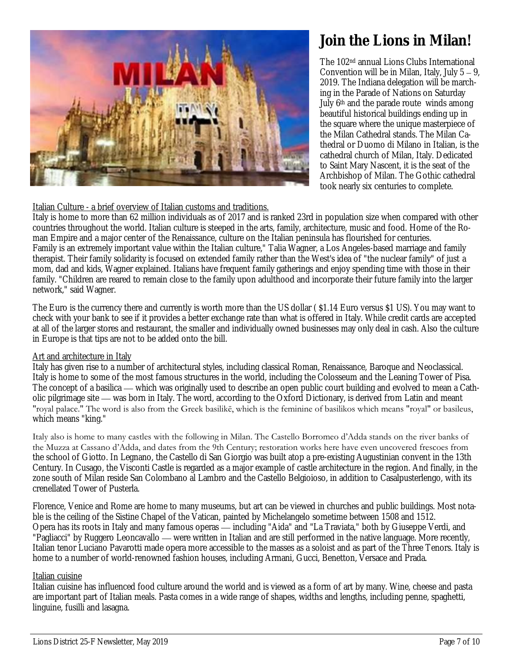

### **Join the Lions in Milan!**

The 102nd annual Lions Clubs International Convention will be in Milan, Italy, July 5 – 9, 2019. The Indiana delegation will be marching in the Parade of Nations on Saturday July 6<sup>th</sup> and the parade route winds among beautiful historical buildings ending up in the square where the unique masterpiece of the Milan Cathedral stands. The Milan Cathedral or Duomo di Milano in Italian, is the cathedral church of Milan, Italy. Dedicated to Saint Mary Nascent, it is the seat of the Archbishop of Milan. The Gothic cathedral took nearly six centuries to complete.

#### Italian Culture - a brief overview of Italian customs and traditions.

Italy is home to more than 62 million individuals as of 2017 and is ranked 23rd in population size when compared with other countries throughout the world. Italian culture is steeped in the arts, family, architecture, music and food. Home of the Roman Empire and a major center of the Renaissance, culture on the Italian peninsula has flourished for centuries. Family is an extremely important value within the Italian culture," Talia Wagner, a Los Angeles-based marriage and family therapist. Their family solidarity is focused on extended family rather than the West's idea of "the nuclear family" of just a mom, dad and kids, Wagner explained. Italians have frequent family gatherings and enjoy spending time with those in their family. "Children are reared to remain close to the family upon adulthood and incorporate their future family into the larger network," said Wagner.

The Euro is the currency there and currently is worth more than the US dollar ( \$1.14 Euro versus \$1 US). You may want to check with your bank to see if it provides a better exchange rate than what is offered in Italy. While credit cards are accepted at all of the larger stores and restaurant, the smaller and individually owned businesses may only deal in cash. Also the culture in Europe is that tips are not to be added onto the bill.

#### Art and architecture in Italy

Italy has given rise to a number of architectural styles, including classical Roman, Renaissance, Baroque and Neoclassical. Italy is home to some of the most famous structures in the world, including the Colosseum and the Leaning Tower of Pisa. The concept of a basilica — which was originally used to describe an open public court building and evolved to mean a Catholic pilgrimage site — was born in Italy. The word, according to the Oxford Dictionary, is derived from Latin and meant "royal palace." The word is also from the Greek basilikē, which is the feminine of basilikos which means "royal" or basileus, which means "king."

Italy also is home to many castles with the following in Milan. The Castello Borromeo d'Adda stands on the river banks of the Muzza at Cassano d'Adda, and dates from the 9th Century; restoration works here have even uncovered frescoes from the school of Giotto. In Legnano, the Castello di San Giorgio was built atop a pre-existing Augustinian convent in the 13th Century. In Cusago, the Visconti Castle is regarded as a major example of castle architecture in the region. And finally, in the zone south of Milan reside San Colombano al Lambro and the Castello Belgioioso, in addition to Casalpusterlengo, with its crenellated Tower of Pusterla.

Florence, Venice and Rome are home to many museums, but art can be viewed in churches and public buildings. Most notable is the ceiling of the Sistine Chapel of the Vatican, painted by Michelangelo sometime between 1508 and 1512. Opera has its roots in Italy and many famous operas — including "Aida" and "La Traviata," both by Giuseppe Verdi, and "Pagliacci" by Ruggero Leoncavallo — were written in Italian and are still performed in the native language. More recently, Italian tenor Luciano Pavarotti made opera more accessible to the masses as a soloist and as part of the Three Tenors. Italy is home to a number of world-renowned fashion houses, including Armani, Gucci, Benetton, Versace and Prada.

#### Italian cuisine

Italian cuisine has influenced food culture around the world and is viewed as a form of art by many. Wine, cheese and pasta are important part of Italian meals. Pasta comes in a wide range of shapes, widths and lengths, including penne, spaghetti, linguine, fusilli and lasagna.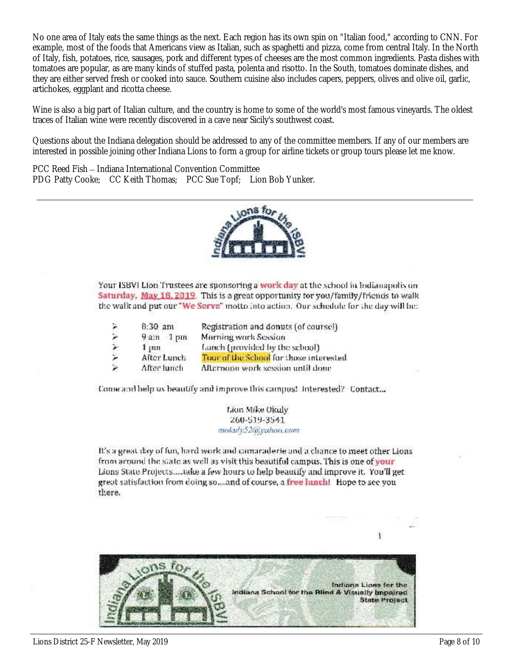No one area of Italy eats the same things as the next. Each region has its own spin on "Italian food," according to CNN. For example, most of the foods that Americans view as Italian, such as spaghetti and pizza, come from central Italy. In the North of Italy, fish, potatoes, rice, sausages, pork and different types of cheeses are the most common ingredients. Pasta dishes with tomatoes are popular, as are many kinds of stuffed pasta, polenta and risotto. In the South, tomatoes dominate dishes, and they are either served fresh or cooked into sauce. Southern cuisine also includes capers, peppers, olives and olive oil, garlic, artichokes, eggplant and ricotta cheese.

Wine is also a big part of Italian culture, and the country is home to some of the world's most famous vineyards. The oldest traces of Italian wine were recently discovered in a cave near Sicily's southwest coast.

Questions about the Indiana delegation should be addressed to any of the committee members. If any of our members are interested in possible joining other Indiana Lions to form a group for airline tickets or group tours please let me know.

PCC Reed Fish – Indiana International Convention Committee PDG Patty Cooke; CC Keith Thomas; PCC Sue Topf; Lion Bob Yunker.



Your ISBVI Lion Trustees are sponsoring a work day at the school in Indianapolis on Saturday, May 18, 2019. This is a great opportunity for you/family/friends to walk the walk and put our "We Serve" motto into action. Our schedule for the day will be:

| X. | $8:30$ am   | Registration and donuts (of coursel)    |  |  |
|----|-------------|-----------------------------------------|--|--|
| ۶  | $9am$ 1 pm  | Morning work Session                    |  |  |
|    | 1, m        | Lanch (provided by the school)          |  |  |
| ۳  | After Lunch | Tour of the School for those interested |  |  |
| ×  | After lunch | Afternoon work session until done       |  |  |

Come and help us beautify and improve this campus! Interested? Contact...

Lion Mike Okuly 260-519-3541 mokuly52@yahoo.com

It's a great day of fun, hard work and camaraderie and a chance to meet other Lions from around the state as well as visit this beautiful campus. This is one of your Lions State Projects.....take a few hours to help beautify and improve it. You'll get great satisfaction from doing so...and of course, a free lunch! Hope to see you there.

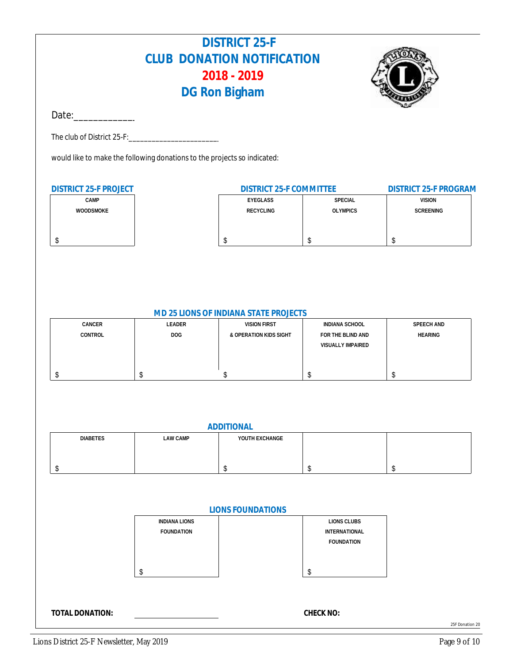### **DISTRICT 25-F CLUB DONATION NOTIFICATION 2018 - 2019 DG Ron Bigham**



Date:\_\_\_\_\_\_\_\_\_\_\_\_\_\_\_\_\_\_\_\_\_\_\_\_\_\_\_\_\_\_\_

The club of District 25-F:

would like to make the following donations to the projects so indicated:

| DISTRICT 25-F PROJECT | DISTRICT 25-F COMMITTEE | DISTRICT 25-F PROGRAM |               |
|-----------------------|-------------------------|-----------------------|---------------|
| <b>CAMP</b>           | EYEGLASS                | SPECIAL               | <b>VISION</b> |
| <b>WOODSMOKE</b>      | RECYCLING               | <b>OLYMPICS</b>       | SCREENING     |
|                       |                         |                       |               |
|                       |                         |                       |               |
|                       |                         |                       |               |

#### **MD 25 LIONS OF INDIANA STATE PROJECTS**

| CANCER  | LEADER | <b>VISION FIRST</b>    | INDIANA SCHOOL    | SPEECH AND     |
|---------|--------|------------------------|-------------------|----------------|
| CONTROL | DOG.   | & OPERATION KIDS SIGHT | FOR THE BLIND AND | <b>HEARING</b> |
|         |        |                        | VISUALLY IMPAIRED |                |
|         |        |                        |                   |                |
|         |        |                        |                   |                |
|         |        |                        |                   |                |

| ADDITIONAL      |          |                |  |  |
|-----------------|----------|----------------|--|--|
| <b>DIABETES</b> | LAW CAMP | YOUTH EXCHANGE |  |  |
|                 |          |                |  |  |
|                 |          |                |  |  |
|                 |          |                |  |  |

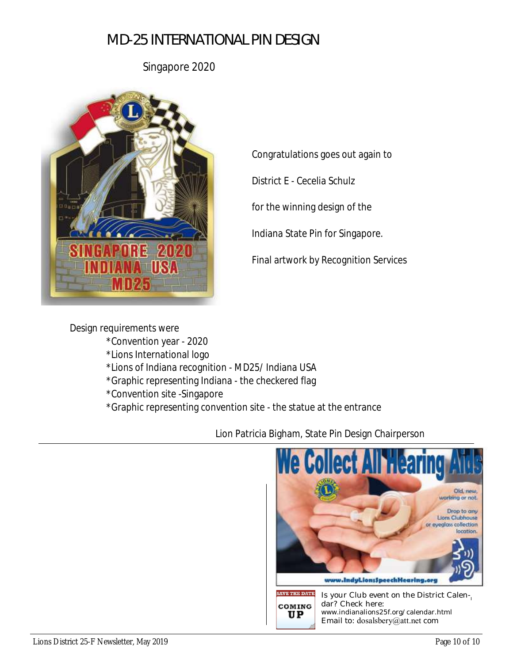### *MD-25 INTERNATIONAL PIN DESIGN*

Singapore 2020



Congratulations goes out again to

District E - Cecelia Schulz

for the winning design of the

Indiana State Pin for Singapore.

Final artwork by Recognition Services

Design requirements were \*Convention year - 2020 \*Lions International logo \*Lions of Indiana recognition - MD25/ Indiana USA \*Graphic representing Indiana - the checkered flag \*Convention site -Singapore \*Graphic representing convention site - the statue at the entrance

Lion Patricia Bigham, State Pin Design Chairperson